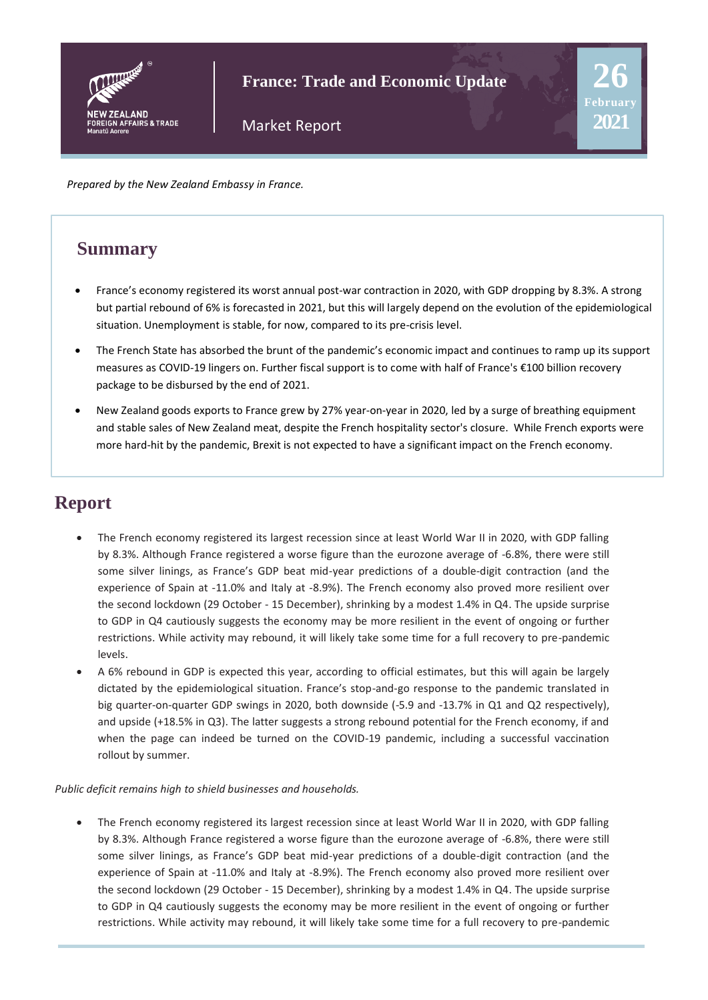

**France: Trade and Economic Update**

**26**

**2021**

Market Report

*Prepared by the New Zealand Embassy in France.* 

### **Summary**

- France's economy registered its worst annual post-war contraction in 2020, with GDP dropping by 8.3%. A strong but partial rebound of 6% is forecasted in 2021, but this will largely depend on the evolution of the epidemiological situation. Unemployment is stable, for now, compared to its pre-crisis level.
- The French State has absorbed the brunt of the pandemic's economic impact and continues to ramp up its support measures as COVID-19 lingers on. Further fiscal support is to come with half of France's €100 billion recovery package to be disbursed by the end of 2021.
- New Zealand goods exports to France grew by 27% year-on-year in 2020, led by a surge of breathing equipment and stable sales of New Zealand meat, despite the French hospitality sector's closure. While French exports were more hard-hit by the pandemic, Brexit is not expected to have a significant impact on the French economy.

# **Report**

- The French economy registered its largest recession since at least World War II in 2020, with GDP falling by 8.3%. Although France registered a worse figure than the eurozone average of -6.8%, there were still some silver linings, as France's GDP beat mid-year predictions of a double-digit contraction (and the experience of Spain at -11.0% and Italy at -8.9%). The French economy also proved more resilient over the second lockdown (29 October - 15 December), shrinking by a modest 1.4% in Q4. The upside surprise to GDP in Q4 cautiously suggests the economy may be more resilient in the event of ongoing or further restrictions. While activity may rebound, it will likely take some time for a full recovery to pre-pandemic levels.
- A 6% rebound in GDP is expected this year, according to official estimates, but this will again be largely dictated by the epidemiological situation. France's stop-and-go response to the pandemic translated in big quarter-on-quarter GDP swings in 2020, both downside (-5.9 and -13.7% in Q1 and Q2 respectively), and upside (+18.5% in Q3). The latter suggests a strong rebound potential for the French economy, if and when the page can indeed be turned on the COVID-19 pandemic, including a successful vaccination rollout by summer.

#### *Public deficit remains high to shield businesses and households.*

The French economy registered its largest recession since at least World War II in 2020, with GDP falling by 8.3%. Although France registered a worse figure than the eurozone average of -6.8%, there were still some silver linings, as France's GDP beat mid-year predictions of a double-digit contraction (and the experience of Spain at -11.0% and Italy at -8.9%). The French economy also proved more resilient over the second lockdown (29 October - 15 December), shrinking by a modest 1.4% in Q4. The upside surprise to GDP in Q4 cautiously suggests the economy may be more resilient in the event of ongoing or further restrictions. While activity may rebound, it will likely take some time for a full recovery to pre-pandemic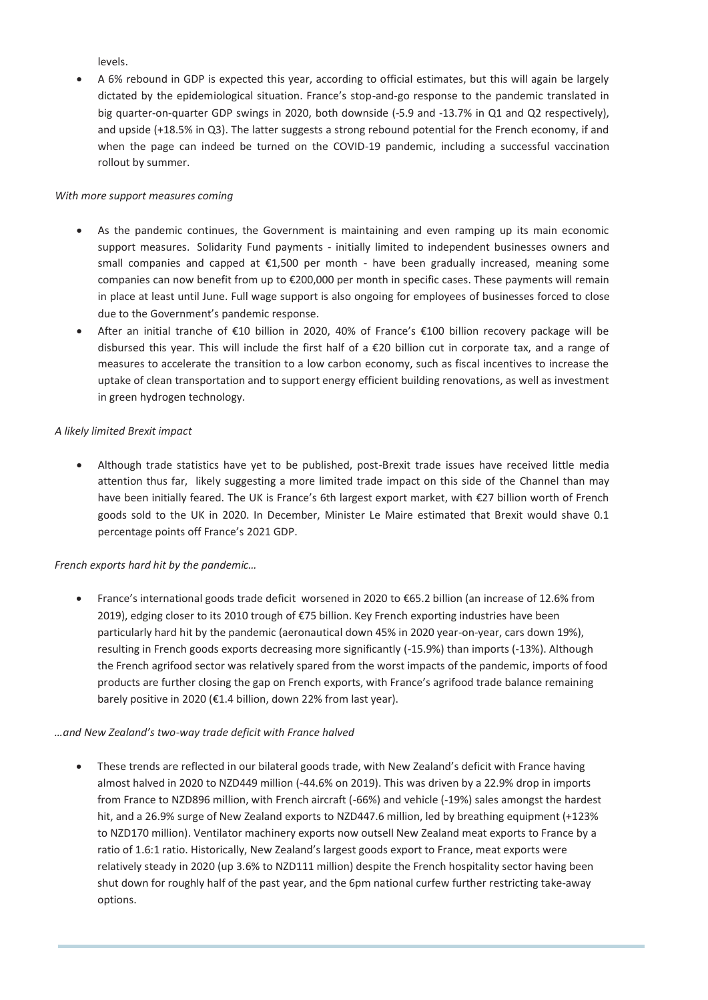levels.

• A 6% rebound in GDP is expected this year, according to official estimates, but this will again be largely dictated by the epidemiological situation. France's stop-and-go response to the pandemic translated in big quarter-on-quarter GDP swings in 2020, both downside (-5.9 and -13.7% in Q1 and Q2 respectively), and upside (+18.5% in Q3). The latter suggests a strong rebound potential for the French economy, if and when the page can indeed be turned on the COVID-19 pandemic, including a successful vaccination rollout by summer.

#### *With more support measures coming*

- As the pandemic continues, the Government is maintaining and even ramping up its main economic support measures. Solidarity Fund payments - initially limited to independent businesses owners and small companies and capped at  $\epsilon$ 1,500 per month - have been gradually increased, meaning some companies can now benefit from up to €200,000 per month in specific cases. These payments will remain in place at least until June. Full wage support is also ongoing for employees of businesses forced to close due to the Government's pandemic response.
- After an initial tranche of €10 billion in 2020, 40% of France's €100 billion recovery package will be disbursed this year. This will include the first half of a €20 billion cut in corporate tax, and a range of measures to accelerate the transition to a low carbon economy, such as fiscal incentives to increase the uptake of clean transportation and to support energy efficient building renovations, as well as investment in green hydrogen technology.

#### *A likely limited Brexit impact*

• Although trade statistics have yet to be published, post-Brexit trade issues have received little media attention thus far, likely suggesting a more limited trade impact on this side of the Channel than may have been initially feared. The UK is France's 6th largest export market, with €27 billion worth of French goods sold to the UK in 2020. In December, Minister Le Maire estimated that Brexit would shave 0.1 percentage points off France's 2021 GDP.

#### *French exports hard hit by the pandemic…*

• France's international goods trade deficit worsened in 2020 to €65.2 billion (an increase of 12.6% from 2019), edging closer to its 2010 trough of €75 billion. Key French exporting industries have been particularly hard hit by the pandemic (aeronautical down 45% in 2020 year-on-year, cars down 19%), resulting in French goods exports decreasing more significantly (-15.9%) than imports (-13%). Although the French agrifood sector was relatively spared from the worst impacts of the pandemic, imports of food products are further closing the gap on French exports, with France's agrifood trade balance remaining barely positive in 2020 (€1.4 billion, down 22% from last year).

#### *…and New Zealand's two-way trade deficit with France halved*

• These trends are reflected in our bilateral goods trade, with New Zealand's deficit with France having almost halved in 2020 to NZD449 million (-44.6% on 2019). This was driven by a 22.9% drop in imports from France to NZD896 million, with French aircraft (-66%) and vehicle (-19%) sales amongst the hardest hit, and a 26.9% surge of New Zealand exports to NZD447.6 million, led by breathing equipment (+123% to NZD170 million). Ventilator machinery exports now outsell New Zealand meat exports to France by a ratio of 1.6:1 ratio. Historically, New Zealand's largest goods export to France, meat exports were relatively steady in 2020 (up 3.6% to NZD111 million) despite the French hospitality sector having been shut down for roughly half of the past year, and the 6pm national curfew further restricting take-away options.